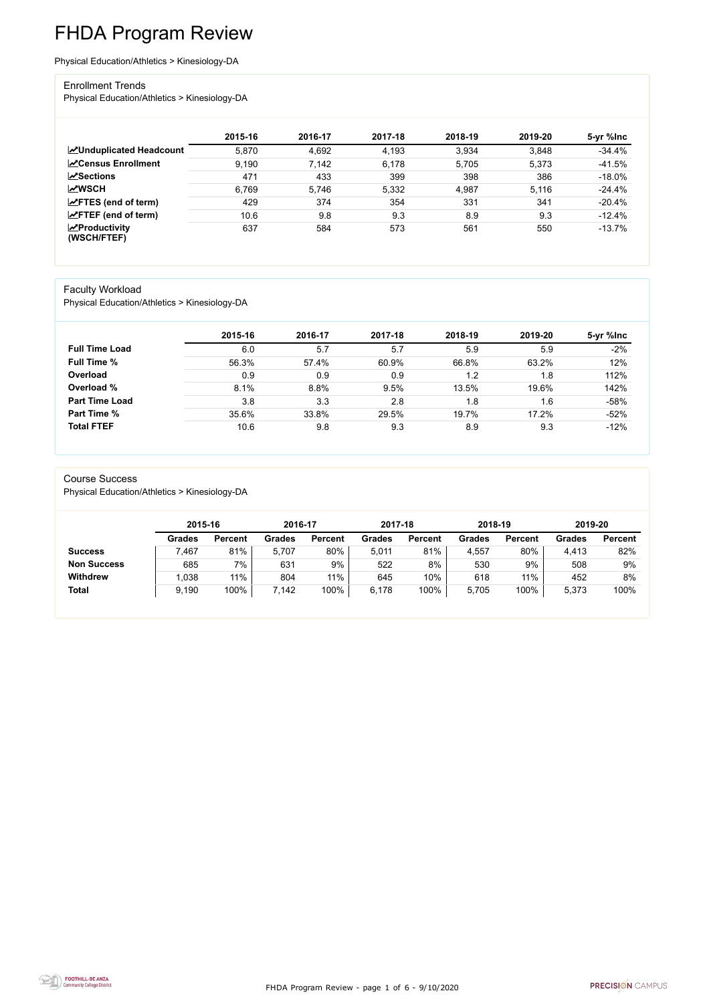FHDA Program Review - page 1 of 6 - 9/10/2020



# FHDA Program Review

Physical Education/Athletics > Kinesiology-DA

#### Enrollment Trends

Physical Education/Athletics > Kinesiology-DA

|                                          | 2015-16 | 2016-17 | 2017-18 | 2018-19 | 2019-20 | 5-yr %lnc |
|------------------------------------------|---------|---------|---------|---------|---------|-----------|
| ∠Unduplicated Headcount                  | 5,870   | 4,692   | 4,193   | 3,934   | 3,848   | $-34.4%$  |
| <b>∠</b> Census Enrollment               | 9,190   | 7,142   | 6,178   | 5,705   | 5,373   | $-41.5%$  |
| $\sqrt{S}$ ections                       | 471     | 433     | 399     | 398     | 386     | $-18.0\%$ |
| <b>MWSCH</b>                             | 6,769   | 5,746   | 5,332   | 4,987   | 5,116   | $-24.4%$  |
| $\angle$ FTES (end of term)              | 429     | 374     | 354     | 331     | 341     | $-20.4%$  |
| $\mathsf{Z}$ FTEF (end of term)          | 10.6    | 9.8     | 9.3     | 8.9     | 9.3     | $-12.4%$  |
| $\mathbf{Z}$ Productivity<br>(WSCH/FTEF) | 637     | 584     | 573     | 561     | 550     | $-13.7\%$ |

#### Faculty Workload

Physical Education/Athletics > Kinesiology-DA

|                       | 2015-16 | 2016-17 | 2017-18 | 2018-19 | 2019-20 | 5-yr %lnc |
|-----------------------|---------|---------|---------|---------|---------|-----------|
| <b>Full Time Load</b> | 6.0     | 5.7     | 5.7     | 5.9     | 5.9     | $-2%$     |
| <b>Full Time %</b>    | 56.3%   | 57.4%   | 60.9%   | 66.8%   | 63.2%   | 12%       |
| Overload              | 0.9     | 0.9     | 0.9     | 1.2     | 1.8     | 112%      |
| Overload %            | 8.1%    | 8.8%    | 9.5%    | 13.5%   | 19.6%   | 142%      |
| <b>Part Time Load</b> | 3.8     | 3.3     | 2.8     | 1.8     | 1.6     | $-58%$    |
| <b>Part Time %</b>    | 35.6%   | 33.8%   | 29.5%   | 19.7%   | 17.2%   | $-52%$    |
| <b>Total FTEF</b>     | 10.6    | 9.8     | 9.3     | 8.9     | 9.3     | $-12%$    |

#### Course Success

Physical Education/Athletics > Kinesiology-DA

|                    | 2015-16       |                | 2016-17 |                | 2017-18       |                | 2018-19       |                | 2019-20       |                |
|--------------------|---------------|----------------|---------|----------------|---------------|----------------|---------------|----------------|---------------|----------------|
|                    | <b>Grades</b> | <b>Percent</b> | Grades  | <b>Percent</b> | <b>Grades</b> | <b>Percent</b> | <b>Grades</b> | <b>Percent</b> | <b>Grades</b> | <b>Percent</b> |
| <b>Success</b>     | 467.          | 81%            | 5,707   | 80%            | 5,011         | 81%            | 4,557         | 80%            | 4,413         | 82%            |
| <b>Non Success</b> | 685           | 7%             | 631     | 9%             | 522           | 8%             | 530           | 9%             | 508           | 9%             |
| <b>Withdrew</b>    | .038          | $11\%$         | 804     | 11%            | 645           | 10%            | 618           | 11%            | 452           | 8%             |
| <b>Total</b>       | 9,190         | 100%           | 7,142   | 100%           | 6,178         | 100%           | 5,705         | 100%           | 5,373         | 100%           |

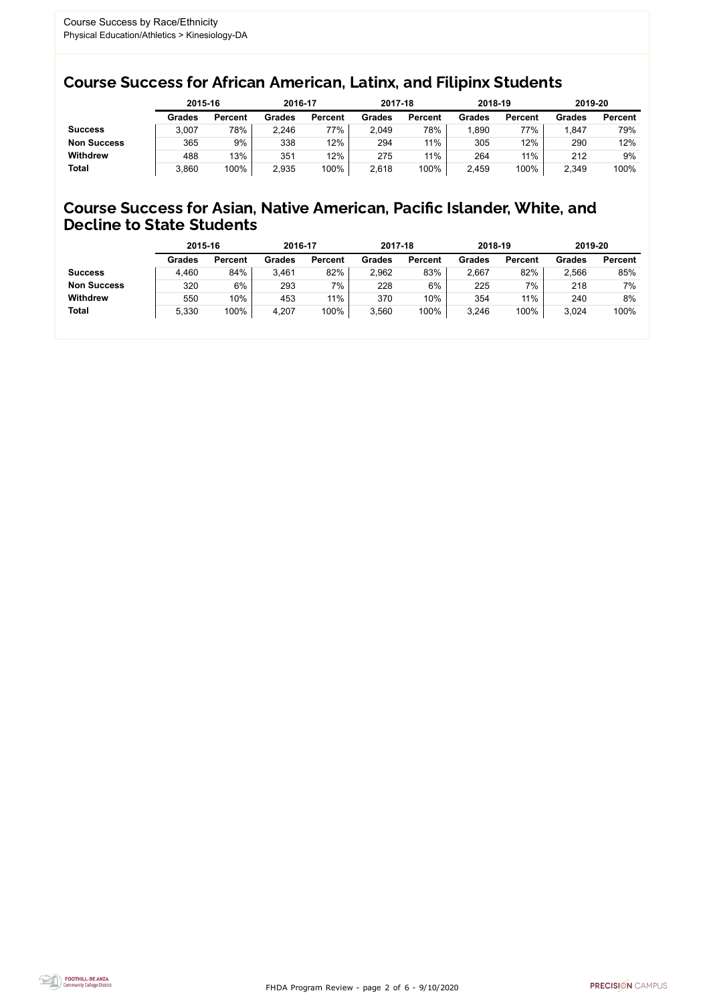FHDA Program Review - page 2 of 6 - 9/10/2020



### Course Success for African American, Latinx, and Filipinx Students

### Course Success for Asian, Native American, Pacific Islander, White, and Decline to State Students

|                    |               | 2015-16        |               | 2016-17        |               | 2017-18        |               | 2018-19        | 2019-20 |                |
|--------------------|---------------|----------------|---------------|----------------|---------------|----------------|---------------|----------------|---------|----------------|
|                    | <b>Grades</b> | <b>Percent</b> | <b>Grades</b> | <b>Percent</b> | <b>Grades</b> | <b>Percent</b> | <b>Grades</b> | <b>Percent</b> | Grades  | <b>Percent</b> |
| <b>Success</b>     | 3,007         | 78%            | 2,246         | 77%            | 2,049         | 78%            | ,890          | 77%            | .847    | 79%            |
| <b>Non Success</b> | 365           | 9%             | 338           | 12%            | 294           | 11%            | 305           | 12%            | 290     | 12%            |
| <b>Withdrew</b>    | 488           | 13%            | 351           | 12%            | 275           | 11%            | 264           | 11%            | 212     | 9%             |
| <b>Total</b>       | 3,860         | 100%           | 2,935         | 100%           | 2,618         | 100%           | 2,459         | 100%           | 2,349   | 100%           |

|                    | 2015-16       |                | 2016-17       |                | 2017-18       |                | 2018-19       |                | 2019-20 |                |
|--------------------|---------------|----------------|---------------|----------------|---------------|----------------|---------------|----------------|---------|----------------|
|                    | <b>Grades</b> | <b>Percent</b> | <b>Grades</b> | <b>Percent</b> | <b>Grades</b> | <b>Percent</b> | <b>Grades</b> | <b>Percent</b> | Grades  | <b>Percent</b> |
| <b>Success</b>     | 4,460         | 84%            | 3,461         | 82%            | 2,962         | 83%            | 2,667         | 82%            | 2,566   | 85%            |
| <b>Non Success</b> | 320           | 6%             | 293           | $7\%$          | 228           | 6%             | 225           | 7%             | 218     | 7%             |
| <b>Withdrew</b>    | 550           | 10%            | 453           | $11\%$         | 370           | 10%            | 354           | 11%            | 240     | 8%             |
| <b>Total</b>       | 5,330         | 100%           | 4,207         | 100%           | 3,560         | 100%           | 3,246         | 100%           | 3,024   | 100%           |
|                    |               |                |               |                |               |                |               |                |         |                |

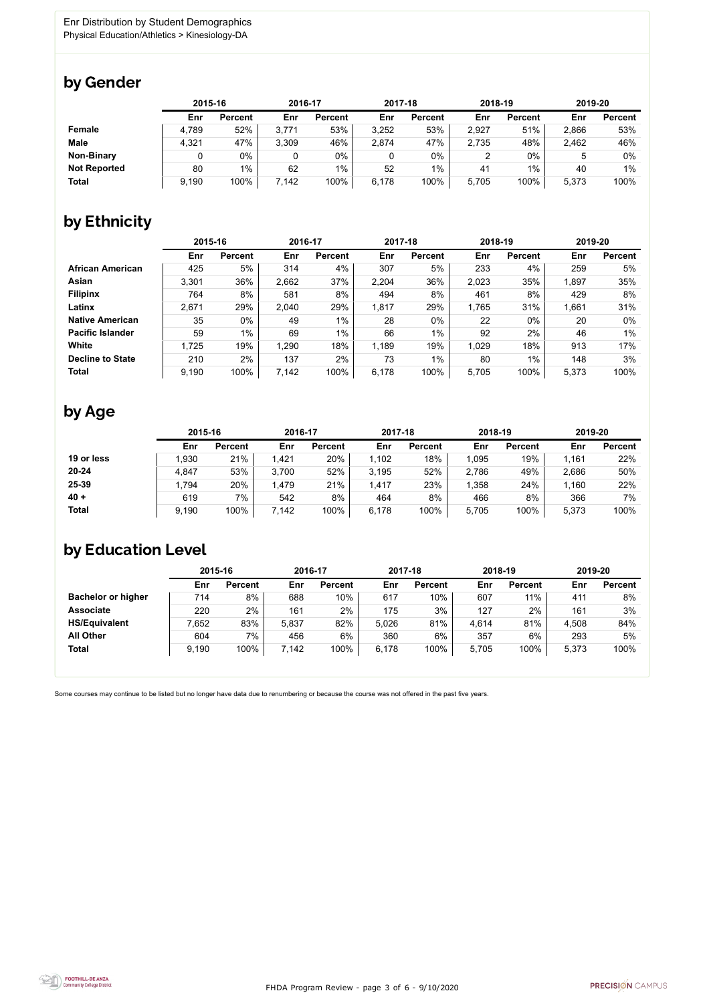FHDA Program Review - page 3 of 6 - 9/10/2020



Some courses may continue to be listed but no longer have data due to renumbering or because the course was not offered in the past five years.



### by Gender

|                     | 2015-16 |                |       | 2016-17        |       | 2017-18        |       | 2018-19        |       | 2019-20        |  |
|---------------------|---------|----------------|-------|----------------|-------|----------------|-------|----------------|-------|----------------|--|
|                     | Enr     | <b>Percent</b> | Enr   | <b>Percent</b> | Enr   | <b>Percent</b> | Enr   | <b>Percent</b> | Enr   | <b>Percent</b> |  |
| <b>Female</b>       | 4,789   | 52%            | 3,771 | 53%            | 3,252 | 53%            | 2,927 | 51%            | 2,866 | 53%            |  |
| <b>Male</b>         | 4,321   | 47%            | 3,309 | 46%            | 2,874 | 47%            | 2,735 | 48%            | 2,462 | 46%            |  |
| <b>Non-Binary</b>   |         | 0%             |       | 0%             |       | $0\%$          |       | $0\%$          |       | 0%             |  |
| <b>Not Reported</b> | 80      | $1\%$          | 62    | $1\%$          | 52    | $1\%$          | 41    | 1%             | 40    | $1\%$          |  |
| <b>Total</b>        | 9,190   | 100%           | 7,142 | 100%           | 6,178 | 100%           | 5,705 | 100%           | 5,373 | 100%           |  |

## by Ethnicity

|                         |       | 2015-16        |       | 2016-17        |       | 2017-18        | 2018-19 |                | 2019-20 |                |
|-------------------------|-------|----------------|-------|----------------|-------|----------------|---------|----------------|---------|----------------|
|                         | Enr   | <b>Percent</b> | Enr   | <b>Percent</b> | Enr   | <b>Percent</b> | Enr     | <b>Percent</b> | Enr     | <b>Percent</b> |
| <b>African American</b> | 425   | 5%             | 314   | 4%             | 307   | 5%             | 233     | 4%             | 259     | 5%             |
| Asian                   | 3,301 | 36%            | 2,662 | 37%            | 2,204 | 36%            | 2,023   | 35%            | 1,897   | 35%            |
| <b>Filipinx</b>         | 764   | 8%             | 581   | 8%             | 494   | 8%             | 461     | 8%             | 429     | 8%             |
| Latinx                  | 2,671 | 29%            | 2,040 | 29%            | 1,817 | 29%            | 1,765   | 31%            | 1,661   | 31%            |
| <b>Native American</b>  | 35    | $0\%$          | 49    | $1\%$          | 28    | $0\%$          | 22      | $0\%$          | 20      | $0\%$          |
| <b>Pacific Islander</b> | 59    | $1\%$          | 69    | $1\%$          | 66    | $1\%$          | 92      | 2%             | 46      | 1%             |
| White                   | 1,725 | 19%            | 1,290 | 18%            | 1,189 | 19%            | 1,029   | 18%            | 913     | 17%            |
| <b>Decline to State</b> | 210   | 2%             | 137   | 2%             | 73    | $1\%$          | 80      | 1%             | 148     | 3%             |
| <b>Total</b>            | 9,190 | 100%           | 7,142 | 100%           | 6,178 | 100%           | 5,705   | 100%           | 5,373   | 100%           |

## by Age

|              |       | 2015-16        |       | 2016-17        |       | 2017-18        |       | 2018-19        | 2019-20 |                |
|--------------|-------|----------------|-------|----------------|-------|----------------|-------|----------------|---------|----------------|
|              | Enr   | <b>Percent</b> | Enr   | <b>Percent</b> | Enr   | <b>Percent</b> | Enr   | <b>Percent</b> | Enr     | <b>Percent</b> |
| 19 or less   | .930  | 21%            | 1,421 | 20%            | 1,102 | 18%            | ,095  | 19%            | 1,161   | 22%            |
| $20 - 24$    | 4,847 | 53%            | 3,700 | 52%            | 3,195 | 52%            | 2,786 | 49%            | 2,686   | 50%            |
| 25-39        | ,794  | 20%            | 1,479 | 21%            | 1,417 | 23%            | ,358  | 24%            | 1,160   | 22%            |
| $40 +$       | 619   | 7%             | 542   | 8%             | 464   | 8%             | 466   | 8%             | 366     | $7\%$          |
| <b>Total</b> | 9,190 | 100%           | 7,142 | 100%           | 6,178 | 100%           | 5,705 | 100%           | 5,373   | 100%           |

### by Education Level

|                           | 2015-16 |                |       | 2016-17        |       | 2017-18        | 2018-19 |                | 2019-20 |                |
|---------------------------|---------|----------------|-------|----------------|-------|----------------|---------|----------------|---------|----------------|
|                           | Enr     | <b>Percent</b> | Enr   | <b>Percent</b> | Enr   | <b>Percent</b> | Enr     | <b>Percent</b> | Enr     | <b>Percent</b> |
| <b>Bachelor or higher</b> | 714     | 8%             | 688   | 10%            | 617   | 10%            | 607     | 11%            | 411     | 8%             |
| <b>Associate</b>          | 220     | 2%             | 161   | 2%             | 175   | 3%             | 127     | 2%             | 161     | 3%             |
| <b>HS/Equivalent</b>      | 7,652   | 83%            | 5,837 | 82%            | 5,026 | 81%            | 4,614   | 81%            | 4,508   | 84%            |
| <b>All Other</b>          | 604     | $7\%$          | 456   | 6%             | 360   | 6%             | 357     | 6%             | 293     | 5%             |
| <b>Total</b>              | 9,190   | 100%           | 7,142 | 100%           | 6,178 | 100%           | 5,705   | 100%           | 5,373   | 100%           |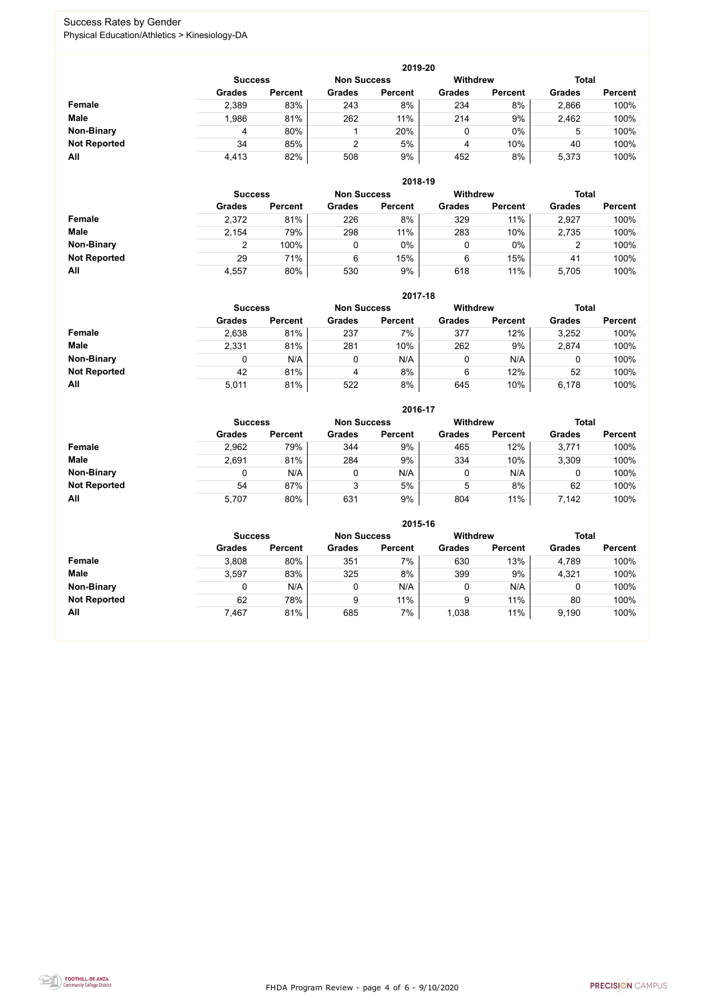FHDA Program Review - page 4 of 6 - 9/10/2020



### Success Rates by Gender Physical Education/Athletics > Kinesiology-DA

|                     |                | 2019-20        |                    |                |                 |                |               |                |  |  |  |  |  |  |
|---------------------|----------------|----------------|--------------------|----------------|-----------------|----------------|---------------|----------------|--|--|--|--|--|--|
|                     | <b>Success</b> |                | <b>Non Success</b> |                | <b>Withdrew</b> |                | <b>Total</b>  |                |  |  |  |  |  |  |
|                     | <b>Grades</b>  | <b>Percent</b> | <b>Grades</b>      | <b>Percent</b> | <b>Grades</b>   | <b>Percent</b> | <b>Grades</b> | <b>Percent</b> |  |  |  |  |  |  |
| <b>Female</b>       | 2,389          | 83%            | 243                | 8%             | 234             | 8%             | 2,866         | 100%           |  |  |  |  |  |  |
| <b>Male</b>         | 1,986          | 81%            | 262                | 11%            | 214             | 9%             | 2,462         | 100%           |  |  |  |  |  |  |
| <b>Non-Binary</b>   | 4              | 80%            |                    | 20%            | 0               | $0\%$          | 5             | 100%           |  |  |  |  |  |  |
| <b>Not Reported</b> | 34             | 85%            | 2                  | 5%             | 4               | 10%            | 40            | 100%           |  |  |  |  |  |  |
| All                 | 4,413          | 82%            | 508                | 9%             | 452             | 8%             | 5,373         | 100%           |  |  |  |  |  |  |

|                     | 2018-19       |                                      |               |                |               |                 |               |                |  |  |  |  |  |
|---------------------|---------------|--------------------------------------|---------------|----------------|---------------|-----------------|---------------|----------------|--|--|--|--|--|
|                     |               | <b>Non Success</b><br><b>Success</b> |               |                |               | <b>Withdrew</b> | <b>Total</b>  |                |  |  |  |  |  |
|                     | <b>Grades</b> | <b>Percent</b>                       | <b>Grades</b> | <b>Percent</b> | <b>Grades</b> | <b>Percent</b>  | <b>Grades</b> | <b>Percent</b> |  |  |  |  |  |
| Female              | 2,372         | 81%                                  | 226           | 8%             | 329           | 11%             | 2,927         | 100%           |  |  |  |  |  |
| <b>Male</b>         | 2,154         | 79%                                  | 298           | 11%            | 283           | 10%             | 2,735         | 100%           |  |  |  |  |  |
| <b>Non-Binary</b>   | າ             | 100%                                 |               | $0\%$          | 0             | $0\%$           | າ<br>∠        | 100%           |  |  |  |  |  |
| <b>Not Reported</b> | 29            | 71%                                  | 6             | 15%            | 6             | 15%             | 41            | 100%           |  |  |  |  |  |
| All                 | 4,557         | 80%                                  | 530           | 9%             | 618           | 11%             | 5,705         | 100%           |  |  |  |  |  |

|                     |               | 2017-18                                                                 |               |                |               |                |               |                |  |  |  |  |  |  |
|---------------------|---------------|-------------------------------------------------------------------------|---------------|----------------|---------------|----------------|---------------|----------------|--|--|--|--|--|--|
|                     |               | <b>Withdrew</b><br><b>Total</b><br><b>Non Success</b><br><b>Success</b> |               |                |               |                |               |                |  |  |  |  |  |  |
|                     | <b>Grades</b> | <b>Percent</b>                                                          | <b>Grades</b> | <b>Percent</b> | <b>Grades</b> | <b>Percent</b> | <b>Grades</b> | <b>Percent</b> |  |  |  |  |  |  |
| Female              | 2,638         | 81%                                                                     | 237           | 7%             | 377           | 12%            | 3,252         | 100%           |  |  |  |  |  |  |
| <b>Male</b>         | 2,331         | 81%                                                                     | 281           | 10%            | 262           | 9%             | 2,874         | 100%           |  |  |  |  |  |  |
| <b>Non-Binary</b>   | 0             | N/A                                                                     |               | N/A            | 0             | N/A            | 0             | 100%           |  |  |  |  |  |  |
| <b>Not Reported</b> | 42            | 81%                                                                     | 4             | 8%             | 6             | 12%            | 52            | 100%           |  |  |  |  |  |  |
| All                 | 5,011         | 81%                                                                     | 522           | 8%             | 645           | 10%            | 6,178         | 100%           |  |  |  |  |  |  |

|                     |                | 2016-17        |               |                    |               |                 |               |                |  |  |
|---------------------|----------------|----------------|---------------|--------------------|---------------|-----------------|---------------|----------------|--|--|
|                     | <b>Success</b> |                |               | <b>Non Success</b> |               | <b>Withdrew</b> |               | <b>Total</b>   |  |  |
|                     | <b>Grades</b>  | <b>Percent</b> | <b>Grades</b> | <b>Percent</b>     | <b>Grades</b> | <b>Percent</b>  | <b>Grades</b> | <b>Percent</b> |  |  |
| Female              | 2,962          | 79%            | 344           | 9%                 | 465           | 12%             | 3,771         | 100%           |  |  |
| <b>Male</b>         | 2,691          | 81%            | 284           | 9%                 | 334           | 10%             | 3,309         | 100%           |  |  |
| <b>Non-Binary</b>   | 0              | N/A            |               | N/A                | 0             | N/A             | 0             | 100%           |  |  |
| <b>Not Reported</b> | 54             | 87%            | 3             | 5%                 | 5             | 8%              | 62            | 100%           |  |  |
| All                 | 5,707          | 80%            | 631           | 9%                 | 804           | 11%             | 7,142         | 100%           |  |  |

|                     |               | 2015-16                              |               |                |               |                                 |               |                |  |  |
|---------------------|---------------|--------------------------------------|---------------|----------------|---------------|---------------------------------|---------------|----------------|--|--|
|                     |               | <b>Non Success</b><br><b>Success</b> |               |                |               | <b>Withdrew</b><br><b>Total</b> |               |                |  |  |
|                     | <b>Grades</b> | <b>Percent</b>                       | <b>Grades</b> | <b>Percent</b> | <b>Grades</b> | <b>Percent</b>                  | <b>Grades</b> | <b>Percent</b> |  |  |
| <b>Female</b>       | 3,808         | 80%                                  | 351           | $7\%$          | 630           | 13%                             | 4,789         | 100%           |  |  |
| <b>Male</b>         | 3,597         | 83%                                  | 325           | 8%             | 399           | 9%                              | 4,321         | 100%           |  |  |
| <b>Non-Binary</b>   |               | N/A                                  | 0             | N/A            |               | N/A                             |               | 100%           |  |  |
| <b>Not Reported</b> | 62            | 78%                                  | 9             | 11%            | 9             | 11%                             | 80            | 100%           |  |  |
| All                 | 7,467         | 81%                                  | 685           | 7%             | 1,038         | 11%                             | 9,190         | 100%           |  |  |

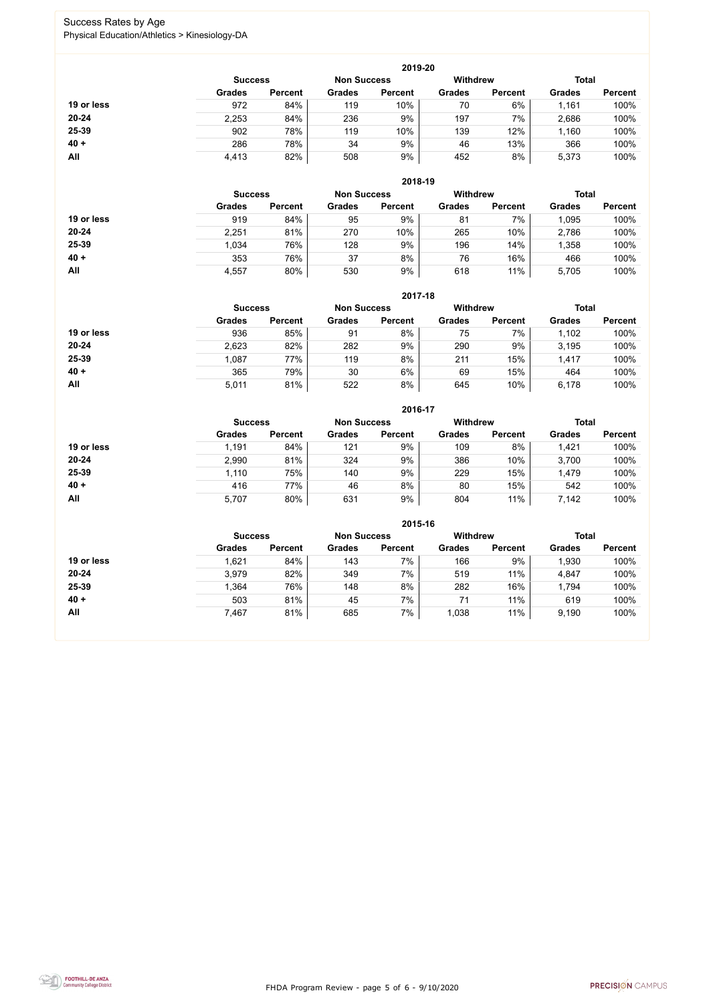FHDA Program Review - page 5 of 6 - 9/10/2020



### Success Rates by Age Physical Education/Athletics > Kinesiology-DA

|            |                |                    |               | 2019-20         |               |                |               |                |
|------------|----------------|--------------------|---------------|-----------------|---------------|----------------|---------------|----------------|
|            | <b>Success</b> | <b>Non Success</b> |               | <b>Withdrew</b> |               | <b>Total</b>   |               |                |
|            | <b>Grades</b>  | <b>Percent</b>     | <b>Grades</b> | <b>Percent</b>  | <b>Grades</b> | <b>Percent</b> | <b>Grades</b> | <b>Percent</b> |
| 19 or less | 972            | 84%                | 119           | 10%             | 70            | 6%             | 1,161         | 100%           |
| $20 - 24$  | 2,253          | 84%                | 236           | 9%              | 197           | 7%             | 2,686         | 100%           |
| 25-39      | 902            | 78%                | 119           | 10%             | 139           | 12%            | 1,160         | 100%           |
| $40 +$     | 286            | 78%                | 34            | 9%              | 46            | 13%            | 366           | 100%           |
| All        | 4,413          | 82%                | 508           | 9%              | 452           | 8%             | 5,373         | 100%           |

|            |                |                    |               | 2018-19        |                                 |                |               |                |
|------------|----------------|--------------------|---------------|----------------|---------------------------------|----------------|---------------|----------------|
|            | <b>Success</b> | <b>Non Success</b> |               |                | <b>Withdrew</b><br><b>Total</b> |                |               |                |
|            | <b>Grades</b>  | <b>Percent</b>     | <b>Grades</b> | <b>Percent</b> | <b>Grades</b>                   | <b>Percent</b> | <b>Grades</b> | <b>Percent</b> |
| 19 or less | 919            | 84%                | 95            | 9%             | 81                              | 7%             | 1,095         | 100%           |
| $20 - 24$  | 2,251          | 81%                | 270           | 10%            | 265                             | 10%            | 2,786         | 100%           |
| 25-39      | 1,034          | 76%                | 128           | 9%             | 196                             | 14%            | 1,358         | 100%           |
| $40 +$     | 353            | 76%                | 37            | 8%             | 76                              | 16%            | 466           | 100%           |
| All        | 4,557          | 80%                | 530           | 9%             | 618                             | 11%            | 5,705         | 100%           |

|            |                                      |                |               | 2017-18        |                 |                |               |                |
|------------|--------------------------------------|----------------|---------------|----------------|-----------------|----------------|---------------|----------------|
|            | <b>Non Success</b><br><b>Success</b> |                |               |                | <b>Withdrew</b> |                | <b>Total</b>  |                |
|            | <b>Grades</b>                        | <b>Percent</b> | <b>Grades</b> | <b>Percent</b> | <b>Grades</b>   | <b>Percent</b> | <b>Grades</b> | <b>Percent</b> |
| 19 or less | 936                                  | 85%            | 91            | 8%             | 75              | 7%             | 1,102         | 100%           |
| $20 - 24$  | 2,623                                | 82%            | 282           | 9%             | 290             | 9%             | 3,195         | 100%           |
| $25 - 39$  | 1,087                                | 77%            | 119           | 8%             | 211             | 15%            | 1,417         | 100%           |
| $40 +$     | 365                                  | 79%            | 30            | 6%             | 69              | 15%            | 464           | 100%           |
| All        | 5,011                                | 81%            | 522           | 8%             | 645             | 10%            | 6,178         | 100%           |

|            |                |                    |               | 2016-17         |               |                |               |                |
|------------|----------------|--------------------|---------------|-----------------|---------------|----------------|---------------|----------------|
|            | <b>Success</b> | <b>Non Success</b> |               | <b>Withdrew</b> |               | <b>Total</b>   |               |                |
|            | <b>Grades</b>  | <b>Percent</b>     | <b>Grades</b> | <b>Percent</b>  | <b>Grades</b> | <b>Percent</b> | <b>Grades</b> | <b>Percent</b> |
| 19 or less | 1,191          | 84%                | 121           | 9%              | 109           | 8%             | 1,421         | 100%           |
| $20 - 24$  | 2,990          | 81%                | 324           | 9%              | 386           | 10%            | 3,700         | 100%           |
| 25-39      | 1,110          | 75%                | 140           | 9%              | 229           | 15%            | 1,479         | 100%           |
| $40 +$     | 416            | 77%                | 46            | 8%              | 80            | 15%            | 542           | 100%           |
| All        | 5,707          | 80%                | 631           | 9%              | 804           | 11%            | 7,142         | 100%           |

|            | 2015-16                              |                |               |                |                 |                |               |                |  |  |
|------------|--------------------------------------|----------------|---------------|----------------|-----------------|----------------|---------------|----------------|--|--|
|            | <b>Non Success</b><br><b>Success</b> |                |               |                | <b>Withdrew</b> |                | <b>Total</b>  |                |  |  |
|            | <b>Grades</b>                        | <b>Percent</b> | <b>Grades</b> | <b>Percent</b> | <b>Grades</b>   | <b>Percent</b> | <b>Grades</b> | <b>Percent</b> |  |  |
| 19 or less | 1,621                                | 84%            | 143           | 7%             | 166             | 9%             | 1,930         | 100%           |  |  |
| $20 - 24$  | 3,979                                | 82%            | 349           | 7%             | 519             | 11%            | 4,847         | 100%           |  |  |
| 25-39      | 1,364                                | 76%            | 148           | 8%             | 282             | 16%            | 1,794         | 100%           |  |  |
| $40 +$     | 503                                  | 81%            | 45            | 7%             | 71              | 11%            | 619           | 100%           |  |  |
| All        | 7,467                                | 81%            | 685           | 7%             | 1,038           | 11%            | 9,190         | 100%           |  |  |